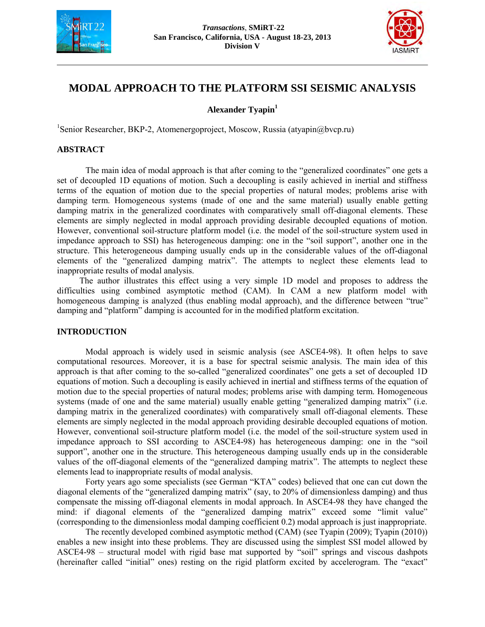



# **MODAL APPROACH TO THE PLATFORM SSI SEISMIC ANALYSIS**

**Alexander Tyapin<sup>1</sup>**

1 Senior Researcher, BKP-2, Atomenergoproject, Moscow, Russia (atyapin@bvcp.ru)

## **ABSTRACT**

The main idea of modal approach is that after coming to the "generalized coordinates" one gets a set of decoupled 1D equations of motion. Such a decoupling is easily achieved in inertial and stiffness terms of the equation of motion due to the special properties of natural modes; problems arise with damping term. Homogeneous systems (made of one and the same material) usually enable getting damping matrix in the generalized coordinates with comparatively small off-diagonal elements. These elements are simply neglected in modal approach providing desirable decoupled equations of motion. However, conventional soil-structure platform model (i.e. the model of the soil-structure system used in impedance approach to SSI) has heterogeneous damping: one in the "soil support", another one in the structure. This heterogeneous damping usually ends up in the considerable values of the off-diagonal elements of the "generalized damping matrix". The attempts to neglect these elements lead to inappropriate results of modal analysis.

The author illustrates this effect using a very simple 1D model and proposes to address the difficulties using combined asymptotic method (CAM). In CAM a new platform model with homogeneous damping is analyzed (thus enabling modal approach), and the difference between "true" damping and "platform" damping is accounted for in the modified platform excitation.

### **INTRODUCTION**

Modal approach is widely used in seismic analysis (see ASCE4-98). It often helps to save computational resources. Moreover, it is a base for spectral seismic analysis. The main idea of this approach is that after coming to the so-called "generalized coordinates" one gets a set of decoupled 1D equations of motion. Such a decoupling is easily achieved in inertial and stiffness terms of the equation of motion due to the special properties of natural modes; problems arise with damping term. Homogeneous systems (made of one and the same material) usually enable getting "generalized damping matrix" (i.e. damping matrix in the generalized coordinates) with comparatively small off-diagonal elements. These elements are simply neglected in the modal approach providing desirable decoupled equations of motion. However, conventional soil-structure platform model (i.e. the model of the soil-structure system used in impedance approach to SSI according to ASCE4-98) has heterogeneous damping: one in the "soil support", another one in the structure. This heterogeneous damping usually ends up in the considerable values of the off-diagonal elements of the "generalized damping matrix". The attempts to neglect these elements lead to inappropriate results of modal analysis.

Forty years ago some specialists (see German "KTA" codes) believed that one can cut down the diagonal elements of the "generalized damping matrix" (say, to 20% of dimensionless damping) and thus compensate the missing off-diagonal elements in modal approach. In ASCE4-98 they have changed the mind: if diagonal elements of the "generalized damping matrix" exceed some "limit value" (corresponding to the dimensionless modal damping coefficient 0.2) modal approach is just inappropriate.

The recently developed combined asymptotic method (CAM) (see Tyapin (2009); Tyapin (2010)) enables a new insight into these problems. They are discussed using the simplest SSI model allowed by ASCE4-98 – structural model with rigid base mat supported by "soil" springs and viscous dashpots (hereinafter called "initial" ones) resting on the rigid platform excited by accelerogram. The "exact"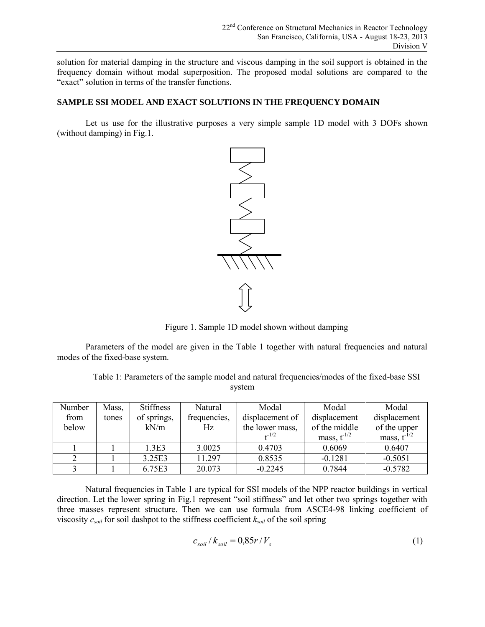solution for material damping in the structure and viscous damping in the soil support is obtained in the frequency domain without modal superposition. The proposed modal solutions are compared to the "exact" solution in terms of the transfer functions.

# **SAMPLE SSI MODEL AND EXACT SOLUTIONS IN THE FREQUENCY DOMAIN**

Let us use for the illustrative purposes a very simple sample 1D model with 3 DOFs shown (without damping) in Fig.1.



Figure 1. Sample 1D model shown without damping

Parameters of the model are given in the Table 1 together with natural frequencies and natural modes of the fixed-base system.

Table 1: Parameters of the sample model and natural frequencies/modes of the fixed-base SSI system

| Number | Mass, | <b>Stiffness</b> | Natural      | Modal           | Modal            | Modal            |
|--------|-------|------------------|--------------|-----------------|------------------|------------------|
| from   | tones | of springs,      | frequencies, | displacement of | displacement     | displacement     |
| below  |       | kN/m             | Hz           | the lower mass, | of the middle    | of the upper     |
|        |       |                  |              | $+1/2$          | mass, $t^{-1/2}$ | mass, $t^{-1/2}$ |
|        |       | 1.3E3            | 3.0025       | 0.4703          | 0.6069           | 0.6407           |
|        |       | 3.25E3           | 11.297       | 0.8535          | $-0.1281$        | $-0.5051$        |
|        |       | 6.75E3           | 20.073       | $-0.2245$       | 0.7844           | $-0.5782$        |

Natural frequencies in Table 1 are typical for SSI models of the NPP reactor buildings in vertical direction. Let the lower spring in Fig.1 represent "soil stiffness" and let other two springs together with three masses represent structure. Then we can use formula from ASCE4-98 linking coefficient of viscosity  $c_{\text{solid}}$  for soil dashpot to the stiffness coefficient  $k_{\text{solid}}$  of the soil spring

$$
c_{\text{solid}} / k_{\text{solid}} = 0.85r / V_s \tag{1}
$$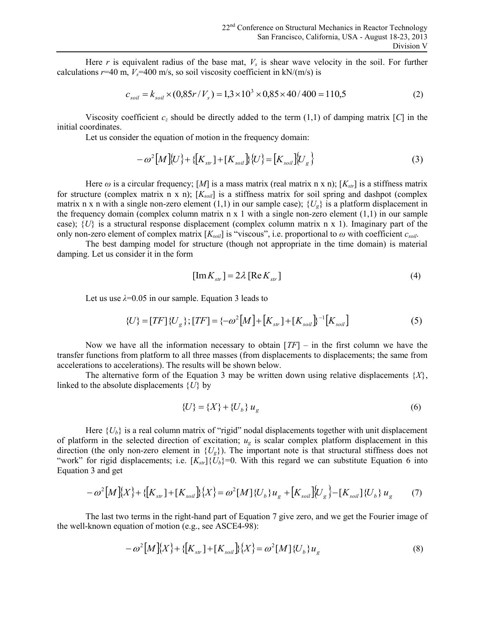Here  $r$  is equivalent radius of the base mat,  $V_s$  is shear wave velocity in the soil. For further calculations  $r=40$  m,  $V_s=400$  m/s, so soil viscosity coefficient in kN/(m/s) is

$$
c_{soil} = k_{soil} \times (0.85r/V_s) = 1.3 \times 10^3 \times 0.85 \times 40/400 = 110.5
$$
 (2)

Viscosity coefficient  $c_z$  should be directly added to the term  $(1,1)$  of damping matrix [C] in the initial coordinates.

Let us consider the equation of motion in the frequency domain:

r the equation of motion in the frequency domain:  
\n
$$
-\omega^2 [M](U) + \{[K_{str}]+[K_{soil}]\}(U) = [K_{soil}][U_g]
$$
\n(3)

Here  $\omega$  is a circular frequency; [M] is a mass matrix (real matrix n x n); [ $K_{str}$ ] is a stiffness matrix for structure (complex matrix n x n); [*Ksoil*] is a stiffness matrix for soil spring and dashpot (complex matrix n x n with a single non-zero element (1,1) in our sample case);  $\{U_{\nu}\}\$ is a platform displacement in the frequency domain (complex column matrix  $n \times 1$  with a single non-zero element  $(1,1)$  in our sample case);  $\{U\}$  is a structural response displacement (complex column matrix n x 1). Imaginary part of the only non-zero element of complex matrix  $[K_{\text{solid}}]$  is "viscous", i.e. proportional to  $\omega$  with coefficient  $c_{\text{solid}}$ .

The best damping model for structure (though not appropriate in the time domain) is material damping. Let us consider it in the form

$$
[\text{Im}K_{str}] = 2\lambda [\text{Re}K_{str}] \tag{4}
$$

Let us use  $\lambda$ =0.05 in our sample. Equation 3 leads to

$$
\lambda = 0.05 \text{ in our sample. } \text{Equation 3 leads to}
$$
\n
$$
\{U\} = [TF] \{U_g\}; [TF] = \{-\omega^2 [M] + [K_{str}] + [K_{soil}] \}^{-1} [K_{soil}]
$$
\n
$$
(5)
$$

Now we have all the information necessary to obtain [*TF*] – in the first column we have the transfer functions from platform to all three masses (from displacements to displacements; the same from accelerations to accelerations). The results will be shown below.

The alternative form of the Equation 3 may be written down using relative displacements  ${X}$ , linked to the absolute displacements {*U*} by

$$
\{U\} = \{X\} + \{U_b\} u_g
$$
 (6)

Here  ${U_b}$  is a real column matrix of "rigid" nodal displacements together with unit displacement of platform in the selected direction of excitation;  $u_g$  is scalar complex platform displacement in this direction (the only non-zero element in  ${U_g}$ ). The important note is that structural stiffness does not "work" for rigid displacements; i.e.  $[K_{str}]\{U_b\}=0$ . With this regard we can substitute Equation 6 into Equation 3 and get {*U<sub>b</sub>*} is a real column matrix of "rigid" nodal displacements together with unit displacement in the selected direction of excitation;  $u_g$  is scalar complex platform displacement in only non-zero element in {*U<sub>g</sub>*}).

$$
-\omega^{2}[M](X) + \{[K_{str}]+[K_{soil}]\}(X) = \omega^{2}[M](U_{b})u_{g} + [K_{soil}](U_{g}) - [K_{soil}](U_{b})u_{g}
$$
(7)

The last two terms in the right-hand part of Equation 7 give zero, and we get the Fourier image of -known equation of motion (e.g., see ASCE4-98):<br> $-\omega^2 [M] {X} + {[K_{str}] + [K_{soil}] } {X} = \omega^2 [M] {U_b} u_g$  (8) the well-known equation of motion (e.g., see ASCE4-98):

$$
-\omega^{2}[M](X) + \{[K_{str}] + [K_{soil}]\}(X) = \omega^{2}[M](U_{b})u_{g}
$$
\n(8)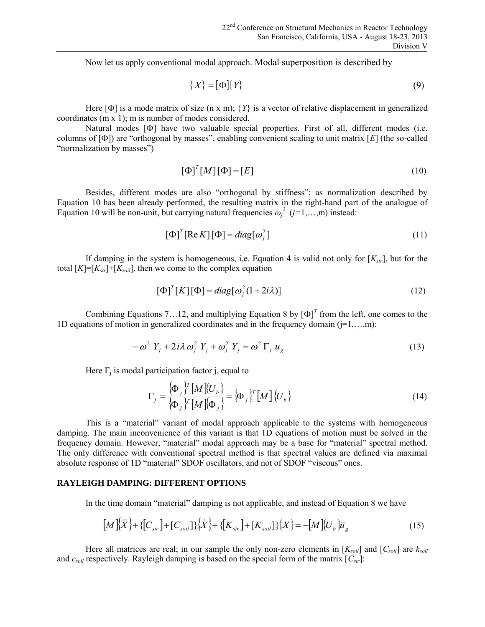Now let us apply conventional modal approach. Modal superposition is described by

$$
\{X\} = [\Phi]\{Y\} \tag{9}
$$

Here  $[\Phi]$  is a mode matrix of size (n x m);  $\{Y\}$  is a vector of relative displacement in generalized coordinates (m x 1); m is number of modes considered.

Natural modes [Ф] have two valuable special properties. First of all, different modes (i.e. columns of [Ф]) are "orthogonal by masses", enabling convenient scaling to unit matrix [*E*] (the so-called "normalization by masses")

$$
\left[\Phi\right]^T [M] \left[\Phi\right] = \left[E\right] \tag{10}
$$

Besides, different modes are also "orthogonal by stiffness"; as normalization described by Equation 10 has been already performed, the resulting matrix in the right-hand part of the analogue of Equation 10 will be non-unit, but carrying natural frequencies  $\omega_j^2$  ( $j=1,...,m$ ) instead:

$$
[\Phi]^T [\text{Re} K] [\Phi] = diag[\omega_j^2]
$$
\n(11)

If damping in the system is homogeneous, i.e. Equation 4 is valid not only for  $[K_{str}]$ , but for the total  $[K]=[K_{str}]+[K_{soil}]$ , then we come to the complex equation

$$
[\Phi]^T [K] [\Phi] = diag[\omega_j^2 (1 + 2i\lambda)] \tag{12}
$$

Combining Equations 7...12, and multiplying Equation 8 by  $[\Phi]^T$  from the left, one comes to the 1D equations of motion in generalized coordinates and in the frequency domain  $(i=1,...,m)$ :

$$
-\omega^2 Y_j + 2i\lambda \omega_j^2 Y_j + \omega_j^2 Y_j = \omega^2 \Gamma_j u_g
$$
\n(13)

Here  $\Gamma_j$  is modal participation factor j, equal to

participation factor j, equal to  
\n
$$
\Gamma_j = \frac{\{\Phi_j\}^T [M] \{U_b\}}{\{\Phi_j\}^T [M] \{\Phi_j\}} = \{\Phi_j\}^T [M] \{U_b\}
$$
\n(14)

This is a "material" variant of modal approach applicable to the systems with homogeneous damping. The main inconvenience of this variant is that 1D equations of motion must be solved in the frequency domain. However, "material" modal approach may be a base for "material" spectral method. The only difference with conventional spectral method is that spectral values are defined via maximal absolute response of 1D "material" SDOF oscillators, and not of SDOF "viscous" ones.

## **RAYLEIGH DAMPING: DIFFERENT OPTIONS**

In the time domain "material" damping is not applicable, and instead of Equation 8 we have

**I DAMPING: DIFFERENT OPTIONS**  
e time domain "material" damping is not applicable, and instead of Equation 8 we have  

$$
[M]\{\ddot{X}\} + \{[C_{str}] + [C_{soil}]\}\{\dot{X}\} + \{[K_{str}] + [K_{soil}]\}\{X\} = -[M]\{U_b\}\ddot{u}_g
$$
(15)

Here all matrices are real; in our sample the only non-zero elements in  $[K_{\text{solid}}]$  and  $[C_{\text{solid}}]$  are  $k_{\text{solid}}$ and  $c_{\text{sol}}$  respectively. Rayleigh damping is based on the special form of the matrix  $[C_{\text{str}}]$ :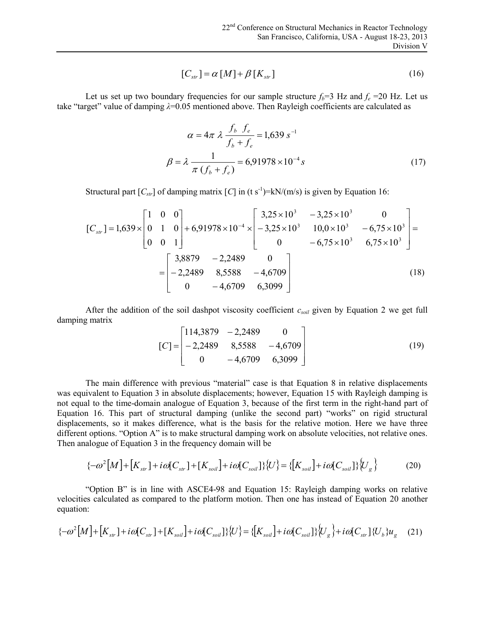$$
[C_{\rm str}] = \alpha \left[ M \right] + \beta \left[ K_{\rm str} \right] \tag{16}
$$

Let us set up two boundary frequencies for our sample structure  $f_b=3$  Hz and  $f_e=20$  Hz. Let us take "target" value of damping *λ*=0.05 mentioned above. Then Rayleigh coefficients are calculated as

$$
\alpha = 4\pi \lambda \frac{f_b f_e}{f_b + f_e} = 1,639 s^{-1}
$$
  

$$
\beta = \lambda \frac{1}{\pi (f_b + f_e)} = 6,91978 \times 10^{-4} s
$$
 (17)

Structural part  $[C_{str}]$  of damping matrix  $[C]$  in (t s<sup>-1</sup>)=kN/(m/s) is given by Equation 16:

$$
[C_{str}] = 1,639 \times \begin{bmatrix} 1 & 0 & 0 \\ 0 & 1 & 0 \\ 0 & 0 & 1 \end{bmatrix} + 6,91978 \times 10^{-4} \times \begin{bmatrix} 3,25 \times 10^{3} & -3,25 \times 10^{3} & 0 \\ -3,25 \times 10^{3} & 10,0 \times 10^{3} & -6,75 \times 10^{3} \\ 0 & -6,75 \times 10^{3} & 6,75 \times 10^{3} \end{bmatrix} = \begin{bmatrix} 3,8879 & -2,2489 & 0 \\ -2,2489 & 8,5588 & -4,6709 \\ 0 & -4,6709 & 6,3099 \end{bmatrix}
$$
(18)

After the addition of the soil dashpot viscosity coefficient  $c_{soli}$  given by Equation 2 we get full damping matrix

$$
[C] = \begin{bmatrix} 114,3879 & -2,2489 & 0 \\ -2,2489 & 8,5588 & -4,6709 \\ 0 & -4,6709 & 6,3099 \end{bmatrix}
$$
 (19)

The main difference with previous "material" case is that Equation 8 in relative displacements was equivalent to Equation 3 in absolute displacements; however, Equation 15 with Rayleigh damping is not equal to the time-domain analogue of Equation 3, because of the first term in the right-hand part of Equation 16. This part of structural damping (unlike the second part) "works" on rigid structural displacements, so it makes difference, what is the basis for the relative motion. Here we have three different options. "Option A" is to make structural damping work on absolute velocities, not relative ones. Then analogue of Equation 3 in the frequency domain will be Fracture 10. This part of structural damping (unlike the second part) "works" on rigid structural<br> *so* it makes difference, what is the basis for the relative motion. Here we have three<br> *ns*. "Option A" is to make struc

$$
\{-\omega^2[M] + [K_{str}] + i\omega[C_{str}] + [K_{soil}] + i\omega[C_{soil}]\} \{U\} = \{[K_{soil}] + i\omega[C_{soil}]\} \{U_g\}
$$
(20)

"Option B" is in line with ASCE4-98 and Equation 15: Rayleigh damping works on relative velocities calculated as compared to the platform motion. Then one has instead of Equation 20 another equation:  $\{-\omega^2[M] + [K_{srr}] + i\omega[C_{srr}] + [K_{soil}] + i\omega[C_{soil}] \} \{U\} = \{[K_{soil}] + i\omega[C_{soil}] \} \{U_g\}$  (20)<br>
"Option B" is in line with ASCE4-98 and Equation 15: Rayleigh damping works on relative<br>
tities calculated as compared to the platform moti

$$
\{-\omega^2[M] + [K_{str}] + i\omega[C_{str}] + [K_{soil}] + i\omega[C_{soil}] \} \{U\} = \{[K_{soil}] + i\omega[C_{soil}] \} \{U_g\} + i\omega[C_{str}] \{U_b\} u_g \quad (21)
$$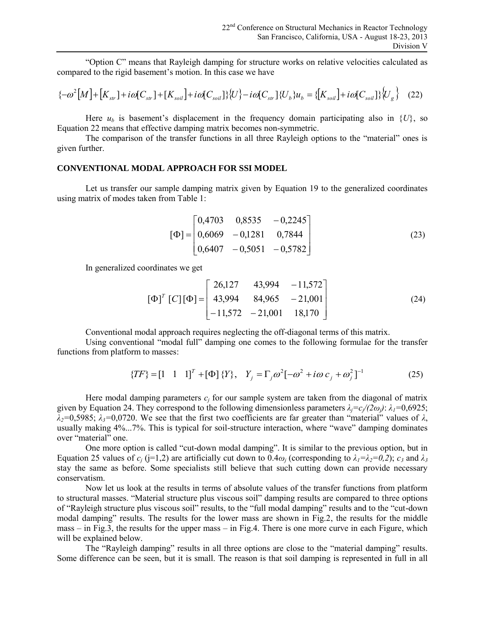"Option C" means that Rayleigh damping for structure works on relative velocities calculated as compared to the rigid basement's motion. In this case we have **straighted in the straight San Francisco**, Calculation<br> **straighted in the structure of the rigid basement's motion. In this case we have<br>**  $[M] + [K_{str}] + i\omega[C_{str}] + [K_{soil}] + i\omega[C_{soil}]\{U\} - i\omega[C_{str}]\{U_b\}u_b = \{U_b\}$ <sup>22<sup>nd</sup> Conference on Structural Mechanics in Reactor Technology<br>
San Francisco, California, USA - August 18-23, 2013<br>
Division V<br>
red to the rigid basement's motion. In this case we have<br> *M*] + [ $K_{sr}$ ] + *io*[ $C_{sr}$ ] +</sup>

$$
\{-\omega^2[M] + [K_{str}] + i\omega[C_{str}] + [K_{soil}] + i\omega[C_{soil}] \} \{U\} - i\omega[C_{str}] \{U_b\} u_b = \{[K_{soil}] + i\omega[C_{soil}] \} \{U_g\} \quad (22)
$$

Here  $u<sub>b</sub>$  is basement's displacement in the frequency domain participating also in  $\{U\}$ , so Equation 22 means that effective damping matrix becomes non-symmetric.

The comparison of the transfer functions in all three Rayleigh options to the "material" ones is given further.

### **CONVENTIONAL MODAL APPROACH FOR SSI MODEL**

Let us transfer our sample damping matrix given by Equation 19 to the generalized coordinates using matrix of modes taken from Table 1:

$$
[\Phi] = \begin{bmatrix} 0,4703 & 0,8535 & -0,2245 \\ 0,6069 & -0,1281 & 0,7844 \\ 0,6407 & -0,5051 & -0,5782 \end{bmatrix}
$$
 (23)

In generalized coordinates we get

$$
\begin{bmatrix} \Phi \end{bmatrix}^T \begin{bmatrix} C \end{bmatrix} \begin{bmatrix} \Phi \end{bmatrix} = \begin{bmatrix} 26,127 & 43,994 & -11,572 \\ 43,994 & 84,965 & -21,001 \\ -11,572 & -21,001 & 18,170 \end{bmatrix}
$$
 (24)

Conventional modal approach requires neglecting the off-diagonal terms of this matrix.

Using conventional "modal full" damping one comes to the following formulae for the transfer functions from platform to masses:

$$
\{TF\} = [1 \ 1 \ 1]^T + [\Phi] \{Y\}, \quad Y_j = \Gamma_j \omega^2 [-\omega^2 + i\omega c_j + \omega_j^2]^{-1}
$$
(25)

Here modal damping parameters  $c_j$  for our sample system are taken from the diagonal of matrix given by Equation 24. They correspond to the following dimensionless parameters *λj=c<sup>j</sup> /(2ωj)*: *λ1=*0,6925;  $λ$ <sub>2</sub>=0,5985;  $λ$ <sub>3</sub>=0,0720. We see that the first two coefficients are far greater than "material" values of  $λ$ , usually making 4%...7%. This is typical for soil-structure interaction, where "wave" damping dominates over "material" one.

One more option is called "cut-down modal damping". It is similar to the previous option, but in Equation 25 values of  $c_j$  (j=1,2) are artificially cut down to 0.4 $\omega_j$  (corresponding to  $\lambda_1 = \lambda_2 = 0, 2$ );  $c_3$  and  $\lambda_3$ stay the same as before. Some specialists still believe that such cutting down can provide necessary conservatism.

Now let us look at the results in terms of absolute values of the transfer functions from platform to structural masses. "Material structure plus viscous soil" damping results are compared to three options of "Rayleigh structure plus viscous soil" results, to the "full modal damping" results and to the "cut-down modal damping" results. The results for the lower mass are shown in Fig.2, the results for the middle mass – in Fig.3, the results for the upper mass – in Fig.4. There is one more curve in each Figure, which will be explained below.

The "Rayleigh damping" results in all three options are close to the "material damping" results. Some difference can be seen, but it is small. The reason is that soil damping is represented in full in all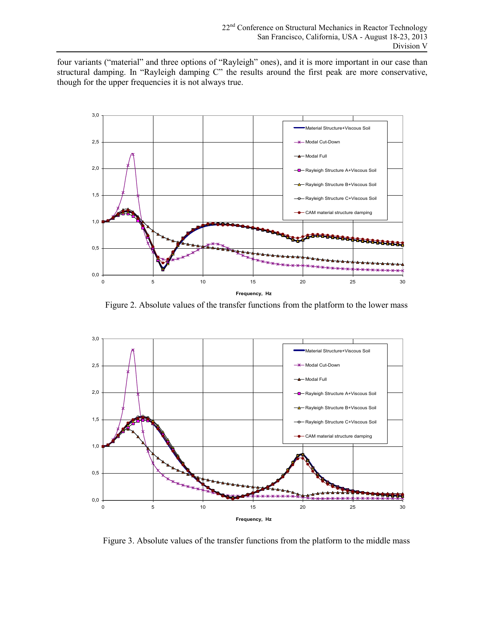four variants ("material" and three options of "Rayleigh" ones), and it is more important in our case than structural damping. In "Rayleigh damping C" the results around the first peak are more conservative, though for the upper frequencies it is not always true.



Figure 2. Absolute values of the transfer functions from the platform to the lower mass



Figure 3. Absolute values of the transfer functions from the platform to the middle mass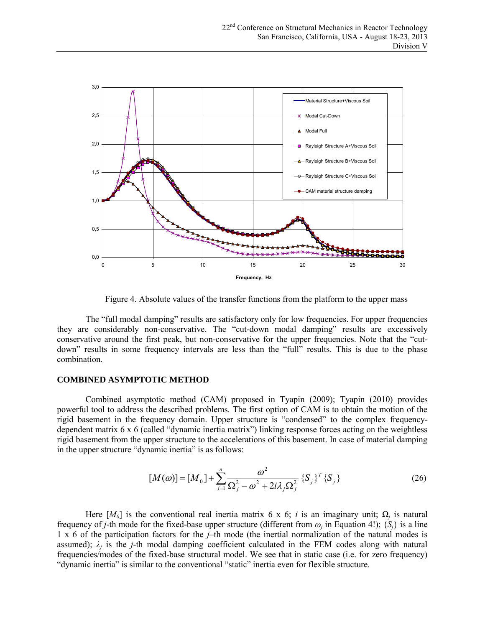

Figure 4. Absolute values of the transfer functions from the platform to the upper mass

The "full modal damping" results are satisfactory only for low frequencies. For upper frequencies they are considerably non-conservative. The "cut-down modal damping" results are excessively conservative around the first peak, but non-conservative for the upper frequencies. Note that the "cutdown" results in some frequency intervals are less than the "full" results. This is due to the phase combination.

### **COMBINED ASYMPTOTIC METHOD**

Combined asymptotic method (CAM) proposed in Tyapin (2009); Tyapin (2010) provides powerful tool to address the described problems. The first option of CAM is to obtain the motion of the rigid basement in the frequency domain. Upper structure is "condensed" to the complex frequencydependent matrix 6 x 6 (called "dynamic inertia matrix") linking response forces acting on the weightless rigid basement from the upper structure to the accelerations of this basement. In case of material damping in the upper structure "dynamic inertia" is as follows:

$$
[M(\omega)] = [M_0] + \sum_{j=1}^n \frac{\omega^2}{\Omega_j^2 - \omega^2 + 2i\lambda_j \Omega_j^2} \{S_j\}^T \{S_j\}
$$
 (26)

Here  $[M_0]$  is the conventional real inertia matrix 6 x 6; *i* is an imaginary unit;  $\Omega_j$  is natural frequency of *j*-th mode for the fixed-base upper structure (different from  $\omega_j$  in Equation 4!);  $\{S_j\}$  is a line 1 х 6 of the participation factors for the *j*–th mode (the inertial normalization of the natural modes is assumed);  $\lambda_j$  is the *j*-th modal damping coefficient calculated in the FEM codes along with natural frequencies/modes of the fixed-base structural model. We see that in static case (i.e. for zero frequency) "dynamic inertia" is similar to the conventional "static" inertia even for flexible structure.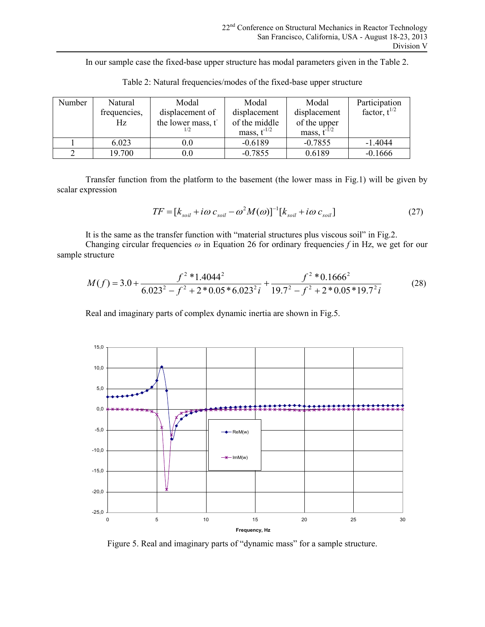In our sample case the fixed-base upper structure has modal parameters given in the Table 2.

| Number | Natural      | Modal             | Modal            | Modal            | Participation     |
|--------|--------------|-------------------|------------------|------------------|-------------------|
|        | frequencies, | displacement of   | displacement     | displacement     | factor, $t^{1/2}$ |
|        | Hz           | the lower mass, t | of the middle    | of the upper     |                   |
|        |              |                   | mass, $t^{-1/2}$ | mass, $t^{-1/2}$ |                   |
|        | 6.023        | $0.0\,$           | $-0.6189$        | $-0.7855$        | $-1.4044$         |
|        | 19.700       | $0.0\,$           | $-0.7855$        | 0.6189           | $-0.1666$         |

Table 2: Natural frequencies/modes of the fixed-base upper structure

Transfer function from the platform to the basement (the lower mass in Fig.1) will be given by scalar expression

$$
TF = [k_{soil} + i\omega c_{soil} - \omega^2 M(\omega)]^{-1} [k_{soil} + i\omega c_{soil}]
$$
\n(27)

It is the same as the transfer function with "material structures plus viscous soil" in Fig.2.

Changing circular frequencies *ω* in Equation 26 for ordinary frequencies *f* in Hz, we get for our sample structure

$$
M(f) = 3.0 + \frac{f^2 * 1.4044^2}{6.023^2 - f^2 + 2 * 0.05 * 6.023^2 i} + \frac{f^2 * 0.1666^2}{19.7^2 - f^2 + 2 * 0.05 * 19.7^2 i}
$$
(28)

Real and imaginary parts of complex dynamic inertia are shown in Fig.5.



Figure 5. Real and imaginary parts of "dynamic mass" for a sample structure.